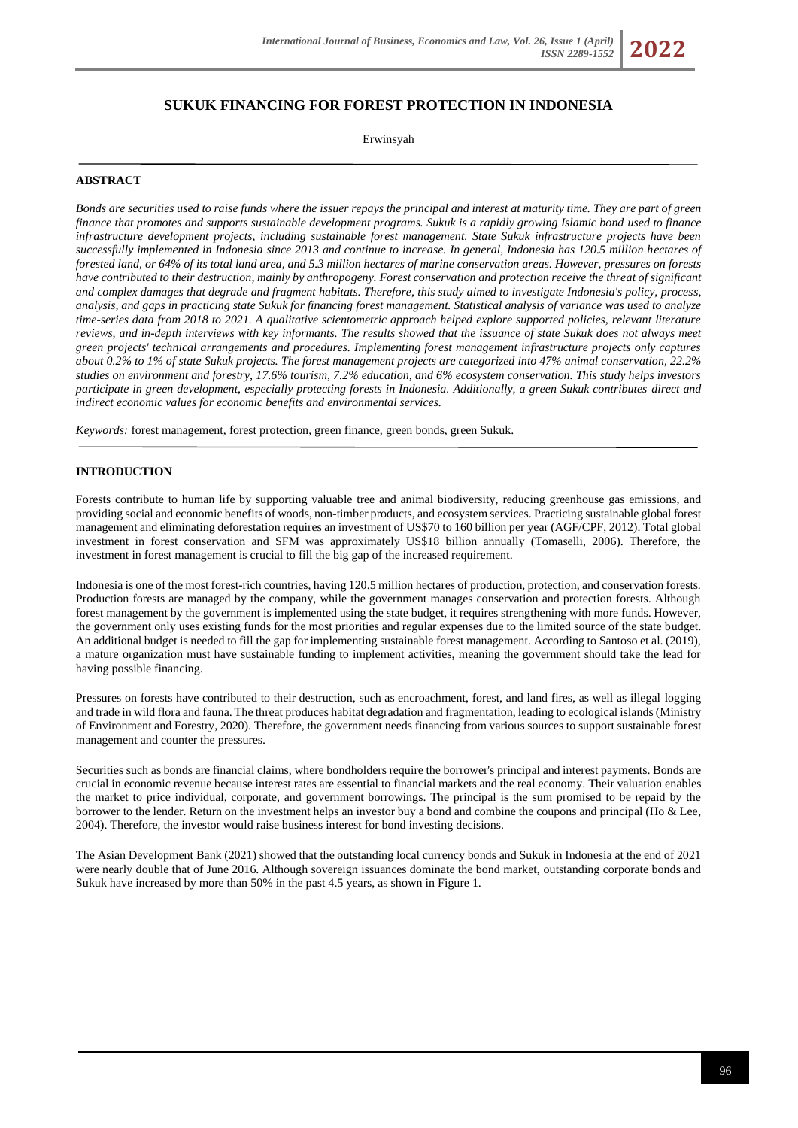# **SUKUK FINANCING FOR FOREST PROTECTION IN INDONESIA**

Erwinsyah

## **ABSTRACT**

*Bonds are securities used to raise funds where the issuer repays the principal and interest at maturity time. They are part of green finance that promotes and supports sustainable development programs. Sukuk is a rapidly growing Islamic bond used to finance infrastructure development projects, including sustainable forest management. State Sukuk infrastructure projects have been successfully implemented in Indonesia since 2013 and continue to increase. In general, Indonesia has 120.5 million hectares of forested land, or 64% of its total land area, and 5.3 million hectares of marine conservation areas. However, pressures on forests have contributed to their destruction, mainly by anthropogeny. Forest conservation and protection receive the threat of significant and complex damages that degrade and fragment habitats. Therefore, this study aimed to investigate Indonesia's policy, process, analysis, and gaps in practicing state Sukuk for financing forest management. Statistical analysis of variance was used to analyze time-series data from 2018 to 2021. A qualitative scientometric approach helped explore supported policies, relevant literature reviews, and in-depth interviews with key informants. The results showed that the issuance of state Sukuk does not always meet green projects' technical arrangements and procedures. Implementing forest management infrastructure projects only captures about 0.2% to 1% of state Sukuk projects. The forest management projects are categorized into 47% animal conservation, 22.2% studies on environment and forestry, 17.6% tourism, 7.2% education, and 6% ecosystem conservation. This study helps investors participate in green development, especially protecting forests in Indonesia. Additionally, a green Sukuk contributes direct and indirect economic values for economic benefits and environmental services.*

*Keywords:* forest management, forest protection, green finance, green bonds, green Sukuk.

#### **INTRODUCTION**

Forests contribute to human life by supporting valuable tree and animal biodiversity, reducing greenhouse gas emissions, and providing social and economic benefits of woods, non-timber products, and ecosystem services. Practicing sustainable global forest management and eliminating deforestation requires an investment of US\$70 to 160 billion per year (AGF/CPF, 2012). Total global investment in forest conservation and SFM was approximately US\$18 billion annually (Tomaselli, 2006). Therefore, the investment in forest management is crucial to fill the big gap of the increased requirement.

Indonesia is one of the most forest-rich countries, having 120.5 million hectares of production, protection, and conservation forests. Production forests are managed by the company, while the government manages conservation and protection forests. Although forest management by the government is implemented using the state budget, it requires strengthening with more funds. However, the government only uses existing funds for the most priorities and regular expenses due to the limited source of the state budget. An additional budget is needed to fill the gap for implementing sustainable forest management. According to Santoso et al. (2019), a mature organization must have sustainable funding to implement activities, meaning the government should take the lead for having possible financing.

Pressures on forests have contributed to their destruction, such as encroachment, forest, and land fires, as well as illegal logging and trade in wild flora and fauna. The threat produces habitat degradation and fragmentation, leading to ecological islands (Ministry of Environment and Forestry, 2020). Therefore, the government needs financing from various sources to support sustainable forest management and counter the pressures.

Securities such as bonds are financial claims, where bondholders require the borrower's principal and interest payments. Bonds are crucial in economic revenue because interest rates are essential to financial markets and the real economy. Their valuation enables the market to price individual, corporate, and government borrowings. The principal is the sum promised to be repaid by the borrower to the lender. Return on the investment helps an investor buy a bond and combine the coupons and principal (Ho & Lee, 2004). Therefore, the investor would raise business interest for bond investing decisions.

The Asian Development Bank (2021) showed that the outstanding local currency bonds and Sukuk in Indonesia at the end of 2021 were nearly double that of June 2016. Although sovereign issuances dominate the bond market, outstanding corporate bonds and Sukuk have increased by more than 50% in the past 4.5 years, as shown in Figure 1.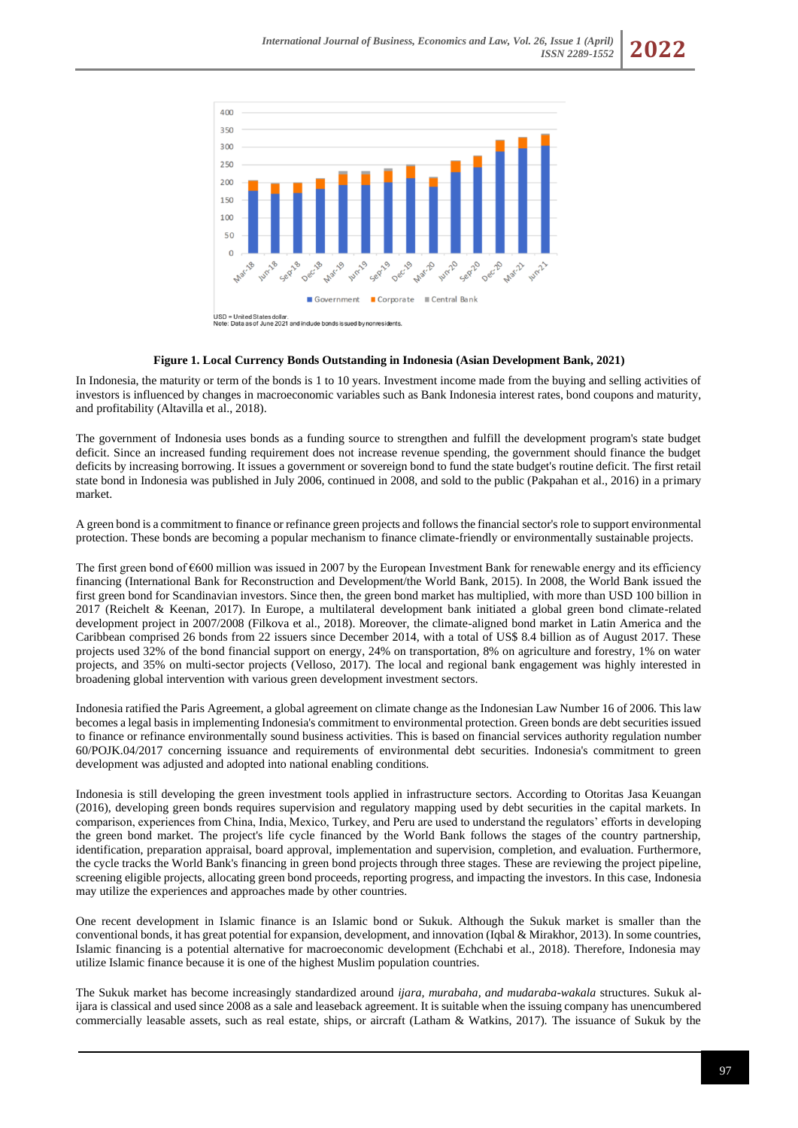

#### **Figure 1. Local Currency Bonds Outstanding in Indonesia (Asian Development Bank, 2021)**

In Indonesia, the maturity or term of the bonds is 1 to 10 years. Investment income made from the buying and selling activities of investors is influenced by changes in macroeconomic variables such as Bank Indonesia interest rates, bond coupons and maturity, and profitability (Altavilla et al., 2018).

The government of Indonesia uses bonds as a funding source to strengthen and fulfill the development program's state budget deficit. Since an increased funding requirement does not increase revenue spending, the government should finance the budget deficits by increasing borrowing. It issues a government or sovereign bond to fund the state budget's routine deficit. The first retail state bond in Indonesia was published in July 2006, continued in 2008, and sold to the public (Pakpahan et al., 2016) in a primary market.

A green bond is a commitment to finance or refinance green projects and follows the financial sector's role to support environmental protection. These bonds are becoming a popular mechanism to finance climate-friendly or environmentally sustainable projects.

The first green bond of  $\epsilon$ 600 million was issued in 2007 by the European Investment Bank for renewable energy and its efficiency financing (International Bank for Reconstruction and Development/the World Bank, 2015). In 2008, the World Bank issued the first green bond for Scandinavian investors. Since then, the green bond market has multiplied, with more than USD 100 billion in 2017 (Reichelt & Keenan, 2017). In Europe, a multilateral development bank initiated a global green bond climate-related development project in 2007/2008 (Filkova et al., 2018). Moreover, the climate-aligned bond market in Latin America and the Caribbean comprised 26 bonds from 22 issuers since December 2014, with a total of US\$ 8.4 billion as of August 2017. These projects used 32% of the bond financial support on energy, 24% on transportation, 8% on agriculture and forestry, 1% on water projects, and 35% on multi-sector projects (Velloso, 2017). The local and regional bank engagement was highly interested in broadening global intervention with various green development investment sectors.

Indonesia ratified the Paris Agreement, a global agreement on climate change as the Indonesian Law Number 16 of 2006. This law becomes a legal basis in implementing Indonesia's commitment to environmental protection. Green bonds are debt securities issued to finance or refinance environmentally sound business activities. This is based on financial services authority regulation number 60/POJK.04/2017 concerning issuance and requirements of environmental debt securities. Indonesia's commitment to green development was adjusted and adopted into national enabling conditions.

Indonesia is still developing the green investment tools applied in infrastructure sectors. According to Otoritas Jasa Keuangan (2016), developing green bonds requires supervision and regulatory mapping used by debt securities in the capital markets. In comparison, experiences from China, India, Mexico, Turkey, and Peru are used to understand the regulators' efforts in developing the green bond market. The project's life cycle financed by the World Bank follows the stages of the country partnership, identification, preparation appraisal, board approval, implementation and supervision, completion, and evaluation. Furthermore, the cycle tracks the World Bank's financing in green bond projects through three stages. These are reviewing the project pipeline, screening eligible projects, allocating green bond proceeds, reporting progress, and impacting the investors. In this case, Indonesia may utilize the experiences and approaches made by other countries.

One recent development in Islamic finance is an Islamic bond or Sukuk. Although the Sukuk market is smaller than the conventional bonds, it has great potential for expansion, development, and innovation (Iqbal & Mirakhor, 2013). In some countries, Islamic financing is a potential alternative for macroeconomic development (Echchabi et al., 2018). Therefore, Indonesia may utilize Islamic finance because it is one of the highest Muslim population countries.

The Sukuk market has become increasingly standardized around *ijara, murabaha, and mudaraba-wakala* structures. Sukuk alijara is classical and used since 2008 as a sale and leaseback agreement. It is suitable when the issuing company has unencumbered commercially leasable assets, such as real estate, ships, or aircraft (Latham & Watkins, 2017). The issuance of Sukuk by the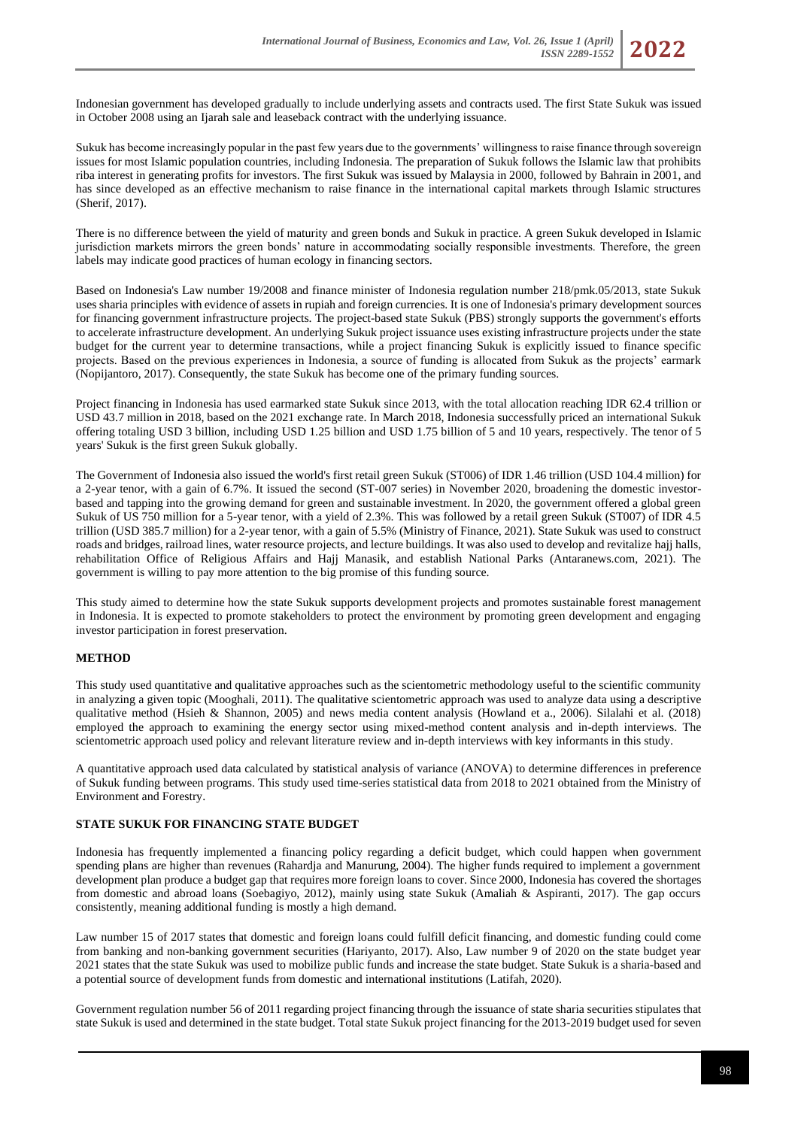Indonesian government has developed gradually to include underlying assets and contracts used. The first State Sukuk was issued in October 2008 using an Ijarah sale and leaseback contract with the underlying issuance.

Sukuk has become increasingly popular in the past few years due to the governments' willingness to raise finance through sovereign issues for most Islamic population countries, including Indonesia. The preparation of Sukuk follows the Islamic law that prohibits riba interest in generating profits for investors. The first Sukuk was issued by Malaysia in 2000, followed by Bahrain in 2001, and has since developed as an effective mechanism to raise finance in the international capital markets through Islamic structures (Sherif, 2017).

There is no difference between the yield of maturity and green bonds and Sukuk in practice. A green Sukuk developed in Islamic jurisdiction markets mirrors the green bonds' nature in accommodating socially responsible investments. Therefore, the green labels may indicate good practices of human ecology in financing sectors.

Based on Indonesia's Law number 19/2008 and finance minister of Indonesia regulation number 218/pmk.05/2013, state Sukuk uses sharia principles with evidence of assets in rupiah and foreign currencies. It is one of Indonesia's primary development sources for financing government infrastructure projects. The project-based state Sukuk (PBS) strongly supports the government's efforts to accelerate infrastructure development. An underlying Sukuk project issuance uses existing infrastructure projects under the state budget for the current year to determine transactions, while a project financing Sukuk is explicitly issued to finance specific projects. Based on the previous experiences in Indonesia, a source of funding is allocated from Sukuk as the projects' earmark (Nopijantoro, 2017). Consequently, the state Sukuk has become one of the primary funding sources.

Project financing in Indonesia has used earmarked state Sukuk since 2013, with the total allocation reaching IDR 62.4 trillion or USD 43.7 million in 2018, based on the 2021 exchange rate. In March 2018, Indonesia successfully priced an international Sukuk offering totaling USD 3 billion, including USD 1.25 billion and USD 1.75 billion of 5 and 10 years, respectively. The tenor of 5 years' Sukuk is the first green Sukuk globally.

The Government of Indonesia also issued the world's first retail green Sukuk (ST006) of IDR 1.46 trillion (USD 104.4 million) for a 2-year tenor, with a gain of 6.7%. It issued the second (ST-007 series) in November 2020, broadening the domestic investorbased and tapping into the growing demand for green and sustainable investment. In 2020, the government offered a global green Sukuk of US 750 million for a 5-year tenor, with a yield of 2.3%. This was followed by a retail green Sukuk (ST007) of IDR 4.5 trillion (USD 385.7 million) for a 2-year tenor, with a gain of 5.5% (Ministry of Finance, 2021). State Sukuk was used to construct roads and bridges, railroad lines, water resource projects, and lecture buildings. It was also used to develop and revitalize hajj halls, rehabilitation Office of Religious Affairs and Hajj Manasik, and establish National Parks (Antaranews.com, 2021). The government is willing to pay more attention to the big promise of this funding source.

This study aimed to determine how the state Sukuk supports development projects and promotes sustainable forest management in Indonesia. It is expected to promote stakeholders to protect the environment by promoting green development and engaging investor participation in forest preservation.

## **METHOD**

This study used quantitative and qualitative approaches such as the scientometric methodology useful to the scientific community in analyzing a given topic (Mooghali, 2011). The qualitative scientometric approach was used to analyze data using a descriptive qualitative method (Hsieh & Shannon, 2005) and news media content analysis (Howland et a., 2006). Silalahi et al. (2018) employed the approach to examining the energy sector using mixed-method content analysis and in-depth interviews. The scientometric approach used policy and relevant literature review and in-depth interviews with key informants in this study.

A quantitative approach used data calculated by statistical analysis of variance (ANOVA) to determine differences in preference of Sukuk funding between programs. This study used time-series statistical data from 2018 to 2021 obtained from the Ministry of Environment and Forestry.

### **STATE SUKUK FOR FINANCING STATE BUDGET**

Indonesia has frequently implemented a financing policy regarding a deficit budget, which could happen when government spending plans are higher than revenues (Rahardja and Manurung, 2004). The higher funds required to implement a government development plan produce a budget gap that requires more foreign loans to cover. Since 2000, Indonesia has covered the shortages from domestic and abroad loans (Soebagiyo, 2012), mainly using state Sukuk (Amaliah & Aspiranti, 2017). The gap occurs consistently, meaning additional funding is mostly a high demand.

Law number 15 of 2017 states that domestic and foreign loans could fulfill deficit financing, and domestic funding could come from banking and non-banking government securities (Hariyanto, 2017). Also, Law number 9 of 2020 on the state budget year 2021 states that the state Sukuk was used to mobilize public funds and increase the state budget. State Sukuk is a sharia-based and a potential source of development funds from domestic and international institutions (Latifah, 2020).

Government regulation number 56 of 2011 regarding project financing through the issuance of state sharia securities stipulates that state Sukuk is used and determined in the state budget. Total state Sukuk project financing for the 2013-2019 budget used for seven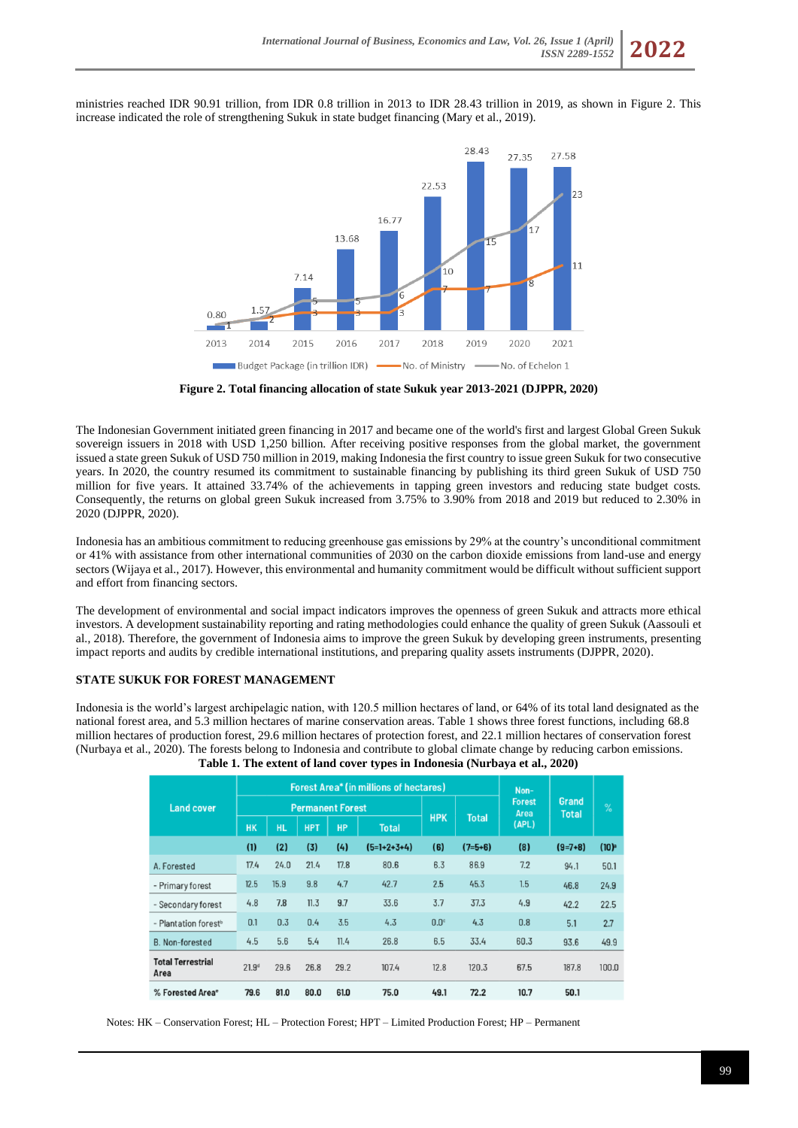ministries reached IDR 90.91 trillion, from IDR 0.8 trillion in 2013 to IDR 28.43 trillion in 2019, as shown in Figure 2. This increase indicated the role of strengthening Sukuk in state budget financing (Mary et al., 2019).



**Figure 2. Total financing allocation of state Sukuk year 2013-2021 (DJPPR, 2020)**

The Indonesian Government initiated green financing in 2017 and became one of the world's first and largest Global Green Sukuk sovereign issuers in 2018 with USD 1,250 billion. After receiving positive responses from the global market, the government issued a state green Sukuk of USD 750 million in 2019, making Indonesia the first country to issue green Sukuk for two consecutive years. In 2020, the country resumed its commitment to sustainable financing by publishing its third green Sukuk of USD 750 million for five years. It attained 33.74% of the achievements in tapping green investors and reducing state budget costs. Consequently, the returns on global green Sukuk increased from 3.75% to 3.90% from 2018 and 2019 but reduced to 2.30% in 2020 (DJPPR, 2020).

Indonesia has an ambitious commitment to reducing greenhouse gas emissions by 29% at the country's unconditional commitment or 41% with assistance from other international communities of 2030 on the carbon dioxide emissions from land-use and energy sectors (Wijaya et al., 2017). However, this environmental and humanity commitment would be difficult without sufficient support and effort from financing sectors.

The development of environmental and social impact indicators improves the openness of green Sukuk and attracts more ethical investors. A development sustainability reporting and rating methodologies could enhance the quality of green Sukuk (Aassouli et al., 2018). Therefore, the government of Indonesia aims to improve the green Sukuk by developing green instruments, presenting impact reports and audits by credible international institutions, and preparing quality assets instruments (DJPPR, 2020).

### **STATE SUKUK FOR FOREST MANAGEMENT**

Indonesia is the world's largest archipelagic nation, with 120.5 million hectares of land, or 64% of its total land designated as the national forest area, and 5.3 million hectares of marine conservation areas. Table 1 shows three forest functions, including 68.8 million hectares of production forest, 29.6 million hectares of protection forest, and 22.1 million hectares of conservation forest (Nurbaya et al., 2020). The forests belong to Indonesia and contribute to global climate change by reducing carbon emissions. **Table 1. The extent of land cover types in Indonesia (Nurbaya et al., 2020)**

| <b>Land cover</b>                |                   |           | <b>Forest Area* (in millions of hectares)</b> | Non-      |               |             |              |                                |                       |                                      |
|----------------------------------|-------------------|-----------|-----------------------------------------------|-----------|---------------|-------------|--------------|--------------------------------|-----------------------|--------------------------------------|
|                                  |                   |           | <b>Permanent Forest</b>                       |           |               | <b>HPK</b>  | <b>Total</b> | <b>Forest</b><br>Area<br>(APL) | Grand<br><b>Total</b> | $\%$                                 |
|                                  | <b>HK</b>         | <b>HL</b> | <b>HPT</b>                                    | <b>HP</b> | <b>Total</b>  |             |              |                                |                       |                                      |
|                                  | (1)               | (2)       | (3)                                           | (4)       | $(5=1+2+3+4)$ | (6)         | $(7=5+6)$    | (8)                            | $(9=7+8)$             | $(10)$ <sup><math>\circ</math></sup> |
| A. Forested                      | 17.4              | 24.0      | 21.4                                          | 17.8      | 80.6          | 6.3         | 86.9         | 7.2                            | 94.1                  | 50.1                                 |
| - Primary forest                 | 12.5              | 15.9      | 9.8                                           | 4.7       | 42.7          | 2.5         | 45.3         | 1.5                            | 46.8                  | 24.9                                 |
| - Secondary forest               | 4.8               | 7.8       | 11.3                                          | 9.7       | 33.6          | 3.7         | 37.3         | 4.9                            | 42.2                  | 22.5                                 |
| - Plantation forest <sup>b</sup> | 0.1               | 0.3       | 0.4                                           | 3.5       | 4.3           | $0.0^\circ$ | 4.3          | 0.8                            | 5.1                   | 2.7                                  |
| <b>B.</b> Non-forested           | 4.5               | 5.6       | 5.4                                           | 11.4      | 26.8          | 6.5         | 33.4         | 60.3                           | 93.6                  | 49.9                                 |
| <b>Total Terrestrial</b><br>Area | 21.9 <sup>d</sup> | 29.6      | 26.8                                          | 29.2      | 107.4         | 12.8        | 120.3        | 67.5                           | 187.8                 | 100.0                                |
| % Forested Area <sup>e</sup>     | 79.6              | 81.0      | 80.0                                          | 61.0      | 75.0          | 49.1        | 72.2         | 10.7                           | 50.1                  |                                      |

Notes: HK – Conservation Forest; HL – Protection Forest; HPT – Limited Production Forest; HP – Permanent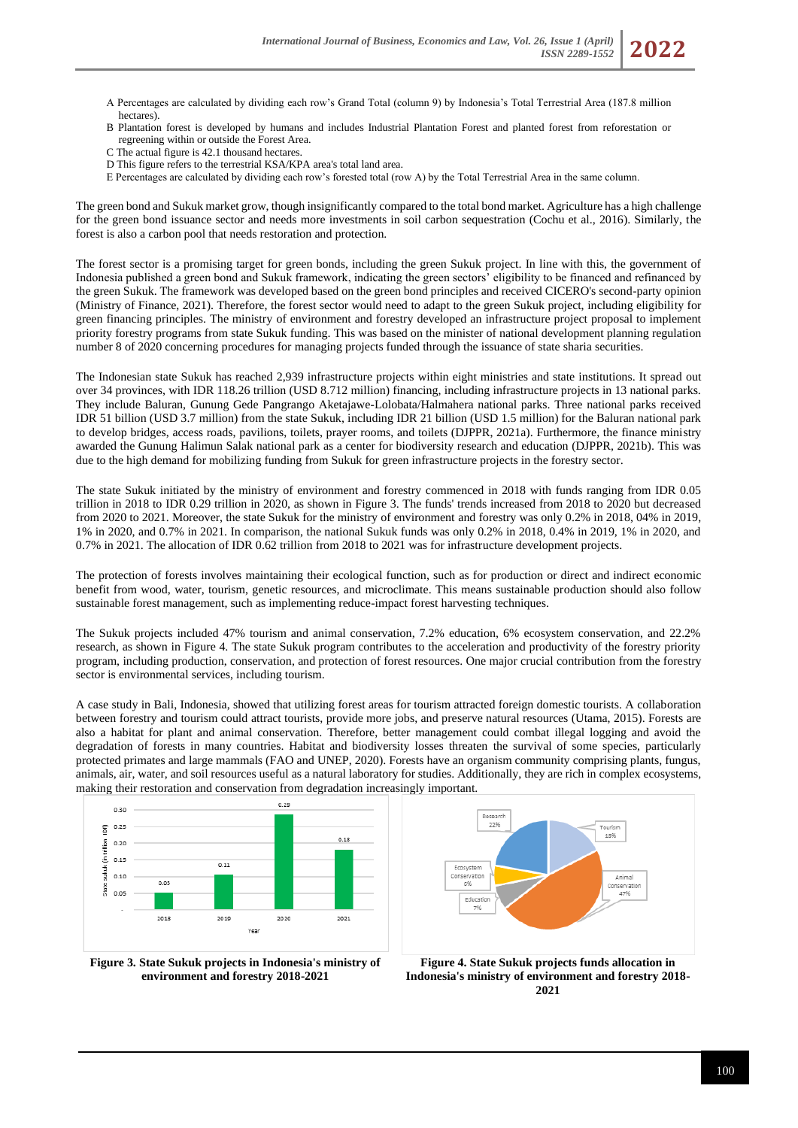- A Percentages are calculated by dividing each row's Grand Total (column 9) by Indonesia's Total Terrestrial Area (187.8 million hectares).
- B Plantation forest is developed by humans and includes Industrial Plantation Forest and planted forest from reforestation or regreening within or outside the Forest Area.
- C The actual figure is 42.1 thousand hectares.
- D This figure refers to the terrestrial KSA/KPA area's total land area.
- E Percentages are calculated by dividing each row's forested total (row A) by the Total Terrestrial Area in the same column.

The green bond and Sukuk market grow, though insignificantly compared to the total bond market. Agriculture has a high challenge for the green bond issuance sector and needs more investments in soil carbon sequestration (Cochu et al., 2016). Similarly, the forest is also a carbon pool that needs restoration and protection.

The forest sector is a promising target for green bonds, including the green Sukuk project. In line with this, the government of Indonesia published a green bond and Sukuk framework, indicating the green sectors' eligibility to be financed and refinanced by the green Sukuk. The framework was developed based on the green bond principles and received CICERO's second-party opinion (Ministry of Finance, 2021). Therefore, the forest sector would need to adapt to the green Sukuk project, including eligibility for green financing principles. The ministry of environment and forestry developed an infrastructure project proposal to implement priority forestry programs from state Sukuk funding. This was based on the minister of national development planning regulation number 8 of 2020 concerning procedures for managing projects funded through the issuance of state sharia securities.

The Indonesian state Sukuk has reached 2,939 infrastructure projects within eight ministries and state institutions. It spread out over 34 provinces, with IDR 118.26 trillion (USD 8.712 million) financing, including infrastructure projects in 13 national parks. They include Baluran, Gunung Gede Pangrango Aketajawe-Lolobata/Halmahera national parks. Three national parks received IDR 51 billion (USD 3.7 million) from the state Sukuk, including IDR 21 billion (USD 1.5 million) for the Baluran national park to develop bridges, access roads, pavilions, toilets, prayer rooms, and toilets (DJPPR, 2021a). Furthermore, the finance ministry awarded the Gunung Halimun Salak national park as a center for biodiversity research and education (DJPPR, 2021b). This was due to the high demand for mobilizing funding from Sukuk for green infrastructure projects in the forestry sector.

The state Sukuk initiated by the ministry of environment and forestry commenced in 2018 with funds ranging from IDR 0.05 trillion in 2018 to IDR 0.29 trillion in 2020, as shown in Figure 3. The funds' trends increased from 2018 to 2020 but decreased from 2020 to 2021. Moreover, the state Sukuk for the ministry of environment and forestry was only 0.2% in 2018, 04% in 2019, 1% in 2020, and 0.7% in 2021. In comparison, the national Sukuk funds was only 0.2% in 2018, 0.4% in 2019, 1% in 2020, and 0.7% in 2021. The allocation of IDR 0.62 trillion from 2018 to 2021 was for infrastructure development projects.

The protection of forests involves maintaining their ecological function, such as for production or direct and indirect economic benefit from wood, water, tourism, genetic resources, and microclimate. This means sustainable production should also follow sustainable forest management, such as implementing reduce-impact forest harvesting techniques.

The Sukuk projects included 47% tourism and animal conservation, 7.2% education, 6% ecosystem conservation, and 22.2% research, as shown in Figure 4. The state Sukuk program contributes to the acceleration and productivity of the forestry priority program, including production, conservation, and protection of forest resources. One major crucial contribution from the forestry sector is environmental services, including tourism.

A case study in Bali, Indonesia, showed that utilizing forest areas for tourism attracted foreign domestic tourists. A collaboration between forestry and tourism could attract tourists, provide more jobs, and preserve natural resources (Utama, 2015). Forests are also a habitat for plant and animal conservation. Therefore, better management could combat illegal logging and avoid the degradation of forests in many countries. Habitat and biodiversity losses threaten the survival of some species, particularly protected primates and large mammals (FAO and UNEP, 2020). Forests have an organism community comprising plants, fungus, animals, air, water, and soil resources useful as a natural laboratory for studies. Additionally, they are rich in complex ecosystems, making their restoration and conservation from degradation increasingly important.





**Figure 3. State Sukuk projects in Indonesia's ministry of environment and forestry 2018-2021**

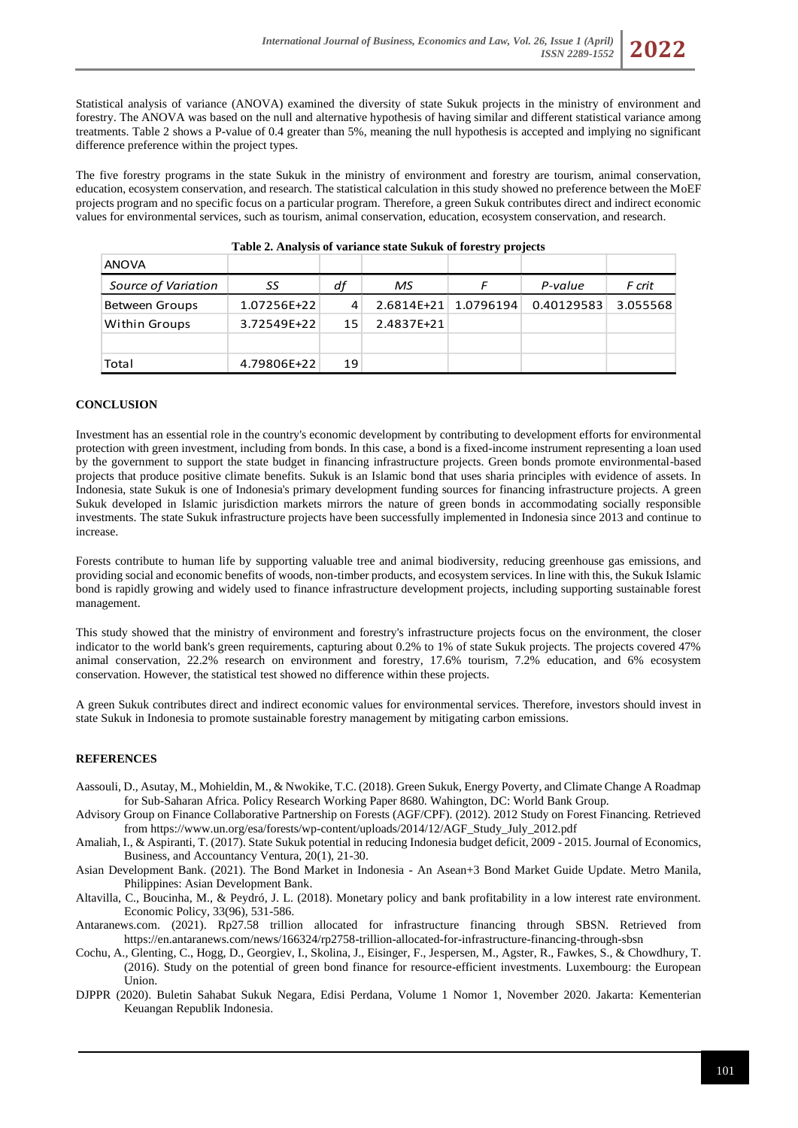

The five forestry programs in the state Sukuk in the ministry of environment and forestry are tourism, animal conservation, education, ecosystem conservation, and research. The statistical calculation in this study showed no preference between the MoEF projects program and no specific focus on a particular program. Therefore, a green Sukuk contributes direct and indirect economic values for environmental services, such as tourism, animal conservation, education, ecosystem conservation, and research.

| ANOVA                |             |    |                      |            |          |
|----------------------|-------------|----|----------------------|------------|----------|
| Source of Variation  | SS          | df | MS                   | P-value    | F crit   |
| Between Groups       | 1.07256E+22 | 4  | 2.6814E+21 1.0796194 | 0.40129583 | 3.055568 |
| <b>Within Groups</b> | 3.72549E+22 | 15 | 2.4837E+21           |            |          |
|                      |             |    |                      |            |          |
| Total                | 4.79806E+22 | 19 |                      |            |          |

#### **Table 2. Analysis of variance state Sukuk of forestry projects**

## **CONCLUSION**

Investment has an essential role in the country's economic development by contributing to development efforts for environmental protection with green investment, including from bonds. In this case, a bond is a fixed-income instrument representing a loan used by the government to support the state budget in financing infrastructure projects. Green bonds promote environmental-based projects that produce positive climate benefits. Sukuk is an Islamic bond that uses sharia principles with evidence of assets. In Indonesia, state Sukuk is one of Indonesia's primary development funding sources for financing infrastructure projects. A green Sukuk developed in Islamic jurisdiction markets mirrors the nature of green bonds in accommodating socially responsible investments. The state Sukuk infrastructure projects have been successfully implemented in Indonesia since 2013 and continue to increase.

Forests contribute to human life by supporting valuable tree and animal biodiversity, reducing greenhouse gas emissions, and providing social and economic benefits of woods, non-timber products, and ecosystem services. In line with this, the Sukuk Islamic bond is rapidly growing and widely used to finance infrastructure development projects, including supporting sustainable forest management.

This study showed that the ministry of environment and forestry's infrastructure projects focus on the environment, the closer indicator to the world bank's green requirements, capturing about 0.2% to 1% of state Sukuk projects. The projects covered 47% animal conservation, 22.2% research on environment and forestry, 17.6% tourism, 7.2% education, and 6% ecosystem conservation. However, the statistical test showed no difference within these projects.

A green Sukuk contributes direct and indirect economic values for environmental services. Therefore, investors should invest in state Sukuk in Indonesia to promote sustainable forestry management by mitigating carbon emissions.

### **REFERENCES**

- Aassouli, D., Asutay, M., Mohieldin, M., & Nwokike, T.C. (2018). Green Sukuk, Energy Poverty, and Climate Change A Roadmap for Sub-Saharan Africa. Policy Research Working Paper 8680. Wahington, DC: World Bank Group.
- Advisory Group on Finance Collaborative Partnership on Forests (AGF/CPF). (2012). 2012 Study on Forest Financing. Retrieved from https://www.un.org/esa/forests/wp-content/uploads/2014/12/AGF\_Study\_July\_2012.pdf
- Amaliah, I., & Aspiranti, T. (2017). State Sukuk potential in reducing Indonesia budget deficit, 2009 2015. Journal of Economics, Business, and Accountancy Ventura, 20(1), 21-30.
- Asian Development Bank. (2021). The Bond Market in Indonesia An Asean+3 Bond Market Guide Update. Metro Manila, Philippines: Asian Development Bank.
- Altavilla, C., Boucinha, M., & Peydró, J. L. (2018). Monetary policy and bank profitability in a low interest rate environment. Economic Policy, 33(96), 531-586.
- Antaranews.com. (2021). Rp27.58 trillion allocated for infrastructure financing through SBSN. Retrieved from https://en.antaranews.com/news/166324/rp2758-trillion-allocated-for-infrastructure-financing-through-sbsn
- Cochu, A., Glenting, C., Hogg, D., Georgiev, I., Skolina, J., Eisinger, F., Jespersen, M., Agster, R., Fawkes, S., & Chowdhury, T. (2016). Study on the potential of green bond finance for resource-efficient investments. Luxembourg: the European Union.
- DJPPR (2020). Buletin Sahabat Sukuk Negara, Edisi Perdana, Volume 1 Nomor 1, November 2020. Jakarta: Kementerian Keuangan Republik Indonesia.